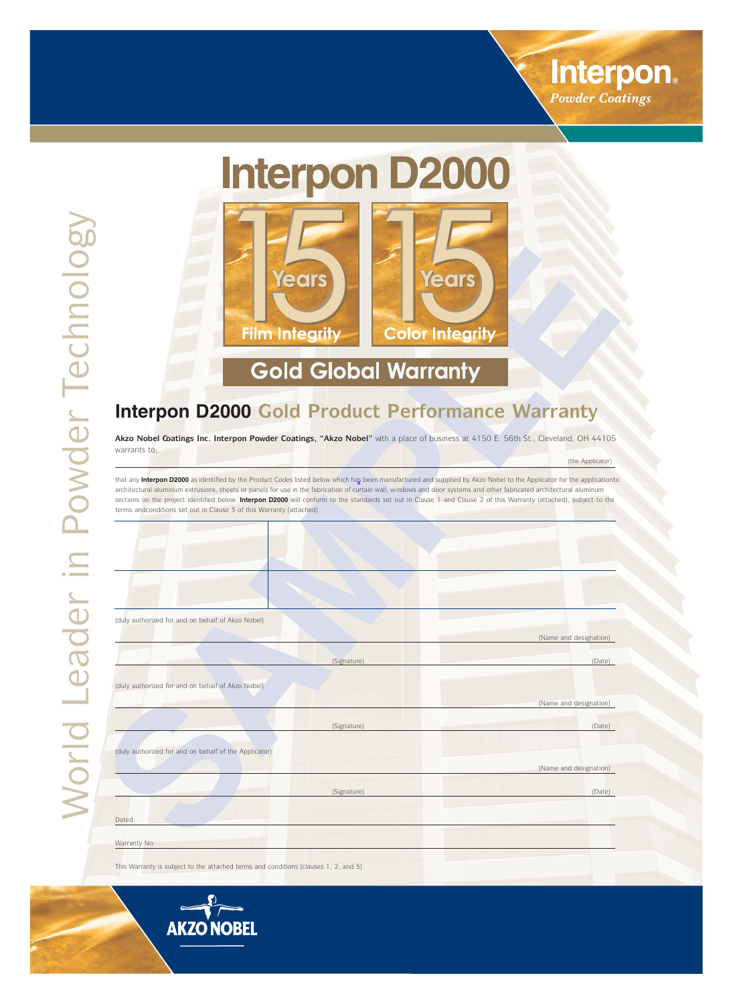

(the Applicator)

# **Interpon D2000**



## **Gold Global Warranty**

### **Interpon D2000 Gold Product Performance Warranty**

**w w Akzo Nobel Coatings Inc. Interpon Powwder Coatings, "Akzo Nobel"** with a place of business at 4150 E. 56th St., Cleveland, OH 44105 warrants to;

architectural aluminum extrusions, sheets or panels for use in the fabrication of curtain wall, windows and door systems and other fabricated architectural aluminum sections on the project identified below. Interpon D2000 will conform to the standards set out in Clause 1 and Clause 2 of this Warranty (attached), subject to the terms andconditions set out in Clause 3 of this Warranty (attached). that any **Interpon D2000** as identified by the Product Codes listed below which has been manufactured and supplied by Akzo Nobel to the Applicator for the applicationto

| (duly authorized for and on behalf of Akzo Nobel)     |                        |
|-------------------------------------------------------|------------------------|
|                                                       | (Name and designation) |
| (Signature)                                           | (Date)                 |
|                                                       |                        |
| (duly authorized for and on behalf of Akzo Nobel)     |                        |
|                                                       | (Name and designation) |
| (Signature)                                           | (Date)                 |
| (duly authorized for and on behalf of the Applicator) |                        |
|                                                       | (Name and designation) |
| (Signature)                                           | (Date)                 |
|                                                       |                        |
| Dated:                                                |                        |
| Warranty No:                                          |                        |

This Warranty is subject to the attached terms and conditions (clauses 1, 2, and 3).